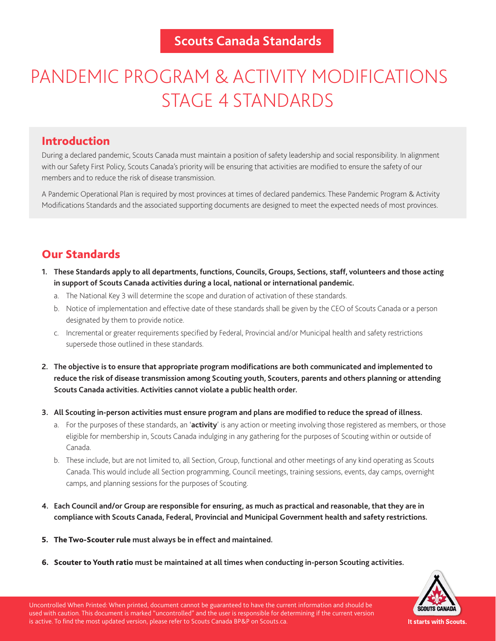# PANDEMIC PROGRAM & ACTIVITY MODIFICATIONS STAGE 4 STANDARDS

## Introduction

During a declared pandemic, Scouts Canada must maintain a position of safety leadership and social responsibility. In alignment with our Safety First Policy, Scouts Canada's priority will be ensuring that activities are modified to ensure the safety of our members and to reduce the risk of disease transmission.

A Pandemic Operational Plan is required by most provinces at times of declared pandemics. These Pandemic Program & Activity Modifications Standards and the associated supporting documents are designed to meet the expected needs of most provinces.

# Our Standards

- **1. These Standards apply to all departments, functions, Councils, Groups, Sections, staff, volunteers and those acting in support of Scouts Canada activities during a local, national or international pandemic.**
	- a. The National Key 3 will determine the scope and duration of activation of these standards.
	- b. Notice of implementation and effective date of these standards shall be given by the CEO of Scouts Canada or a person designated by them to provide notice.
	- c. Incremental or greater requirements specified by Federal, Provincial and/or Municipal health and safety restrictions supersede those outlined in these standards.
- **2. The objective is to ensure that appropriate program modifications are both communicated and implemented to reduce the risk of disease transmission among Scouting youth, Scouters, parents and others planning or attending Scouts Canada activities. Activities cannot violate a public health order.**
- **3. All Scouting in-person activities must ensure program and plans are modified to reduce the spread of illness.**
	- a. For the purposes of these standards, an '**activity**' is any action or meeting involving those registered as members, or those eligible for membership in, Scouts Canada indulging in any gathering for the purposes of Scouting within or outside of Canada.
	- b. These include, but are not limited to, all Section, Group, functional and other meetings of any kind operating as Scouts Canada. This would include all Section programming, Council meetings, training sessions, events, day camps, overnight camps, and planning sessions for the purposes of Scouting.
- **4. Each Council and/or Group are responsible for ensuring, as much as practical and reasonable, that they are in compliance with Scouts Canada, Federal, Provincial and Municipal Government health and safety restrictions.**
- 5. The Two-Scouter rule **must always be in effect and maintained.**
- 6. Scouter to Youth ratio **must be maintained at all times when conducting in-person Scouting activities.**



Uncontrolled When Printed: When printed, document cannot be guaranteed to have the current information and should be used with caution. This document is marked "uncontrolled" and the user is responsible for determining if the current version is active. To find the most updated version, please refer to Scouts Canada BP&P on Scouts.ca.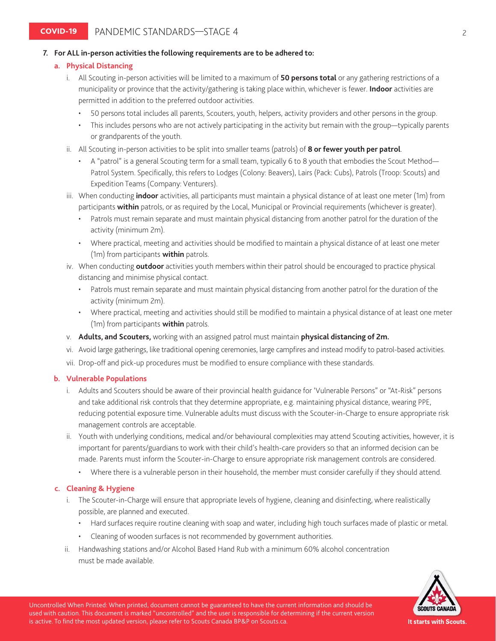#### **7. For ALL in-person activities the following requirements are to be adhered to:**

#### **a. Physical Distancing**

- i. All Scouting in-person activities will be limited to a maximum of **50 persons total** or any gathering restrictions of a municipality or province that the activity/gathering is taking place within, whichever is fewer. **Indoor** activities are permitted in addition to the preferred outdoor activities.
	- 50 persons total includes all parents, Scouters, youth, helpers, activity providers and other persons in the group.
	- This includes persons who are not actively participating in the activity but remain with the group—typically parents or grandparents of the youth.
- ii. All Scouting in-person activities to be split into smaller teams (patrols) of **8 or fewer youth per patrol**.
	- A "patrol" is a general Scouting term for a small team, typically 6 to 8 youth that embodies the Scout Method— Patrol System. Specifically, this refers to Lodges (Colony: Beavers), Lairs (Pack: Cubs), Patrols (Troop: Scouts) and Expedition Teams (Company: Venturers).
- iii. When conducting **indoor** activities, all participants must maintain a physical distance of at least one meter (1m) from participants **within** patrols, or as required by the Local, Municipal or Provincial requirements (whichever is greater).
	- Patrols must remain separate and must maintain physical distancing from another patrol for the duration of the activity (minimum 2m).
	- Where practical, meeting and activities should be modified to maintain a physical distance of at least one meter (1m) from participants **within** patrols.
- iv. When conducting **outdoor** activities youth members within their patrol should be encouraged to practice physical distancing and minimise physical contact.
	- Patrols must remain separate and must maintain physical distancing from another patrol for the duration of the activity (minimum 2m).
	- Where practical, meeting and activities should still be modified to maintain a physical distance of at least one meter (1m) from participants **within** patrols.
- v. **Adults, and Scouters,** working with an assigned patrol must maintain **physical distancing of 2m.**
- vi. Avoid large gatherings, like traditional opening ceremonies, large campfires and instead modify to patrol-based activities.
- vii. Drop-off and pick-up procedures must be modified to ensure compliance with these standards.

#### **b. Vulnerable Populations**

- i. Adults and Scouters should be aware of their provincial health guidance for 'Vulnerable Persons" or "At-Risk" persons and take additional risk controls that they determine appropriate, e.g. maintaining physical distance, wearing PPE, reducing potential exposure time. Vulnerable adults must discuss with the Scouter-in-Charge to ensure appropriate risk management controls are acceptable.
- ii. Youth with underlying conditions, medical and/or behavioural complexities may attend Scouting activities, however, it is important for parents/guardians to work with their child's health-care providers so that an informed decision can be made. Parents must inform the Scouter-in-Charge to ensure appropriate risk management controls are considered.
	- Where there is a vulnerable person in their household, the member must consider carefully if they should attend.

#### **c. Cleaning & Hygiene**

- i. The Scouter-in-Charge will ensure that appropriate levels of hygiene, cleaning and disinfecting, where realistically possible, are planned and executed.
	- Hard surfaces require routine cleaning with soap and water, including high touch surfaces made of plastic or metal.
	- Cleaning of wooden surfaces is not recommended by government authorities.
- ii. Handwashing stations and/or Alcohol Based Hand Rub with a minimum 60% alcohol concentration must be made available.



Uncontrolled When Printed: When printed, document cannot be guaranteed to have the current information and should be used with caution. This document is marked "uncontrolled" and the user is responsible for determining if the current version is active. To find the most updated version, please refer to Scouts Canada BP&P on Scouts.ca.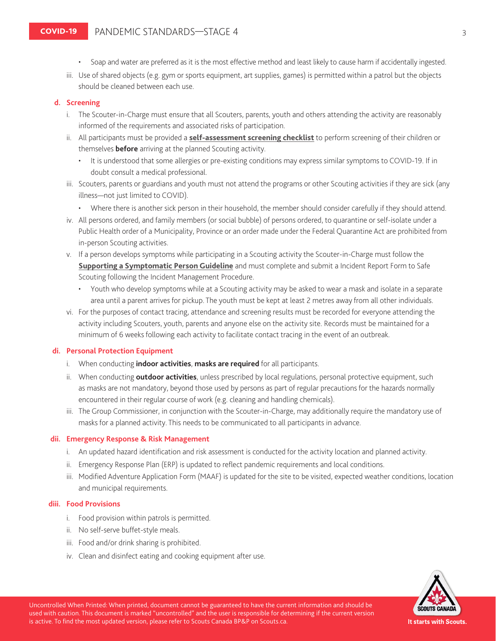- Soap and water are preferred as it is the most effective method and least likely to cause harm if accidentally ingested.
- iii. Use of shared objects (e.g. gym or sports equipment, art supplies, games) is permitted within a patrol but the objects should be cleaned between each use.

#### **d. Screening**

- i. The Scouter-in-Charge must ensure that all Scouters, parents, youth and others attending the activity are reasonably informed of the requirements and associated risks of participation.
- ii. All participants must be provided a **[self-assessment screening checklist](https://scoutsca.s3.amazonaws.com/2020/08/self-assessment-screening-checklist.pdf)** to perform screening of their children or themselves **before** arriving at the planned Scouting activity.
	- It is understood that some allergies or pre-existing conditions may express similar symptoms to COVID-19. If in doubt consult a medical professional.
- iii. Scouters, parents or guardians and youth must not attend the programs or other Scouting activities if they are sick (any illness—not just limited to COVID).
	- Where there is another sick person in their household, the member should consider carefully if they should attend.
- iv. All persons ordered, and family members (or social bubble) of persons ordered, to quarantine or self-isolate under a Public Health order of a Municipality, Province or an order made under the Federal Quarantine Act are prohibited from in-person Scouting activities.
- v. If a person develops symptoms while participating in a Scouting activity the Scouter-in-Charge must follow the **[Supporting a Symptomatic Person Guideline](https://scoutsca.s3.amazonaws.com/2020/08/supporting-a-symptomatic-person-guide.pdf)** and must complete and submit a Incident Report Form to Safe Scouting following the Incident Management Procedure.
	- Youth who develop symptoms while at a Scouting activity may be asked to wear a mask and isolate in a separate area until a parent arrives for pickup. The youth must be kept at least 2 metres away from all other individuals.
- vi. For the purposes of contact tracing, attendance and screening results must be recorded for everyone attending the activity including Scouters, youth, parents and anyone else on the activity site. Records must be maintained for a minimum of 6 weeks following each activity to facilitate contact tracing in the event of an outbreak.

#### **di. Personal Protection Equipment**

- i. When conducting **indoor activities**, **masks are required** for all participants.
- ii. When conducting **outdoor activities**, unless prescribed by local regulations, personal protective equipment, such as masks are not mandatory, beyond those used by persons as part of regular precautions for the hazards normally encountered in their regular course of work (e.g. cleaning and handling chemicals).
- iii. The Group Commissioner, in conjunction with the Scouter-in-Charge, may additionally require the mandatory use of masks for a planned activity. This needs to be communicated to all participants in advance.

#### **dii. Emergency Response & Risk Management**

- i. An updated hazard identification and risk assessment is conducted for the activity location and planned activity.
- ii. Emergency Response Plan (ERP) is updated to reflect pandemic requirements and local conditions.
- iii. Modified Adventure Application Form (MAAF) is updated for the site to be visited, expected weather conditions, location and municipal requirements.

#### **diii. Food Provisions**

- i. Food provision within patrols is permitted.
- ii. No self-serve buffet-style meals.
- iii. Food and/or drink sharing is prohibited.
- iv. Clean and disinfect eating and cooking equipment after use.



Uncontrolled When Printed: When printed, document cannot be guaranteed to have the current information and should be used with caution. This document is marked "uncontrolled" and the user is responsible for determining if the current version is active. To find the most updated version, please refer to Scouts Canada BP&P on Scouts.ca.